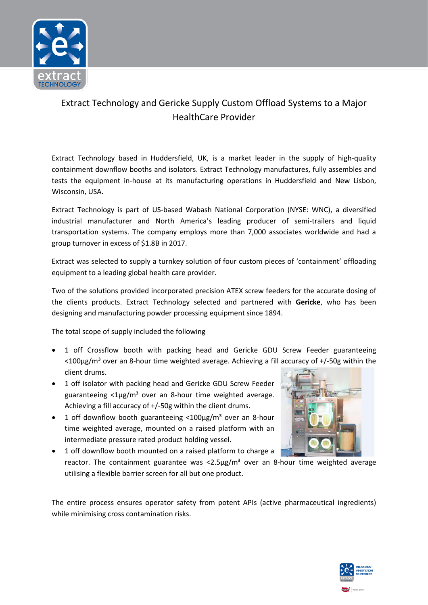

## Extract Technology and Gericke Supply Custom Offload Systems to a Major HealthCare Provider

Extract Technology based in Huddersfield, UK, is a market leader in the supply of high-quality containment downflow booths and isolators. Extract Technology manufactures, fully assembles and tests the equipment in-house at its manufacturing operations in Huddersfield and New Lisbon, Wisconsin, USA.

Extract Technology is part of US-based Wabash National Corporation (NYSE: WNC), a diversified industrial manufacturer and North America's leading producer of semi-trailers and liquid transportation systems. The company employs more than 7,000 associates worldwide and had a group turnover in excess of \$1.8B in 2017.

Extract was selected to supply a turnkey solution of four custom pieces of 'containment' offloading equipment to a leading global health care provider.

Two of the solutions provided incorporated precision ATEX screw feeders for the accurate dosing of the clients products. Extract Technology selected and partnered with **Gericke**, who has been designing and manufacturing powder processing equipment since 1894.

The total scope of supply included the following

- 1 off Crossflow booth with packing head and Gericke GDU Screw Feeder guaranteeing  $\langle$  <100µg/m<sup>3</sup> over an 8-hour time weighted average. Achieving a fill accuracy of +/-50g within the client drums.
- 1 off isolator with packing head and Gericke GDU Screw Feeder guaranteeing  $<$ 1µg/m<sup>3</sup> over an 8-hour time weighted average. Achieving a fill accuracy of +/-50g within the client drums.
- 1 off downflow booth guaranteeing  $\langle 100 \mu g/m^3$  over an 8-hour time weighted average, mounted on a raised platform with an intermediate pressure rated product holding vessel.



• 1 off downflow booth mounted on a raised platform to charge a reactor. The containment guarantee was  $\langle 2.5\mu g/m^3$  over an 8-hour time weighted average utilising a flexible barrier screen for all but one product.

The entire process ensures operator safety from potent APIs (active pharmaceutical ingredients) while minimising cross contamination risks.